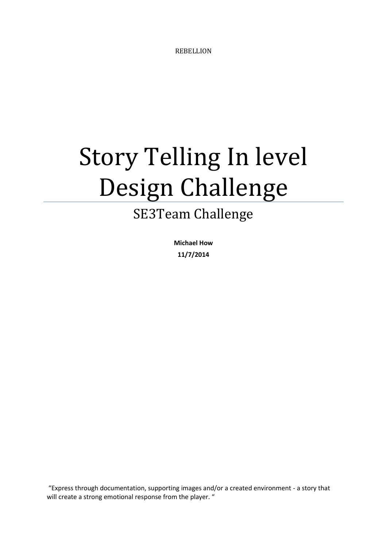REBELLION

## Story Telling In level Design Challenge

## SE3Team Challenge

**Michael How 11/7/2014**

"Express through documentation, supporting images and/or a created environment - a story that will create a strong emotional response from the player. "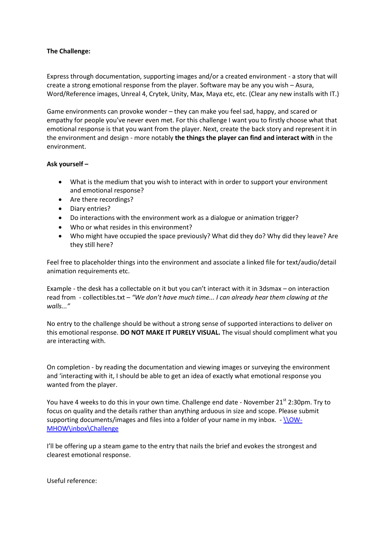## **The Challenge:**

Express through documentation, supporting images and/or a created environment - a story that will create a strong emotional response from the player. Software may be any you wish – Asura, Word/Reference images, Unreal 4, Crytek, Unity, Max, Maya etc, etc. (Clear any new installs with IT.)

Game environments can provoke wonder – they can make you feel sad, happy, and scared or empathy for people you've never even met. For this challenge I want you to firstly choose what that emotional response is that you want from the player. Next, create the back story and represent it in the environment and design - more notably **the things the player can find and interact with** in the environment.

## **Ask yourself –**

- What is the medium that you wish to interact with in order to support your environment and emotional response?
- Are there recordings?
- Diary entries?
- Do interactions with the environment work as a dialogue or animation trigger?
- Who or what resides in this environment?
- Who might have occupied the space previously? What did they do? Why did they leave? Are they still here?

Feel free to placeholder things into the environment and associate a linked file for text/audio/detail animation requirements etc.

Example - the desk has a collectable on it but you can't interact with it in 3dsmax – on interaction read from - collectibles.txt – *"We don't have much time... I can already hear them clawing at the walls..."*

No entry to the challenge should be without a strong sense of supported interactions to deliver on this emotional response. **DO NOT MAKE IT PURELY VISUAL.** The visual should compliment what you are interacting with.

On completion - by reading the documentation and viewing images or surveying the environment and 'interacting with it, I should be able to get an idea of exactly what emotional response you wanted from the player.

You have 4 weeks to do this in your own time. Challenge end date - November 21<sup>st</sup> 2:30pm. Try to focus on quality and the details rather than anything arduous in size and scope. Please submit supporting documents/images and files into a folder of your name in my inbox. - [\\OW-](file://OW-MHOW/inbox/Challenge)[MHOW\inbox\Challenge](file://OW-MHOW/inbox/Challenge)

I'll be offering up a steam game to the entry that nails the brief and evokes the strongest and clearest emotional response.

Useful reference: